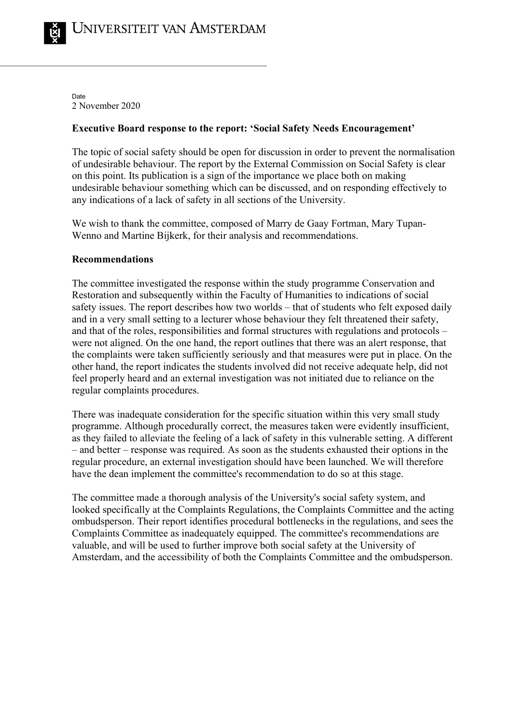Date 2 November 2020

## **Executive Board response to the report: 'Social Safety Needs Encouragement'**

The topic of social safety should be open for discussion in order to prevent the normalisation of undesirable behaviour. The report by the External Commission on Social Safety is clear on this point. Its publication is a sign of the importance we place both on making undesirable behaviour something which can be discussed, and on responding effectively to any indications of a lack of safety in all sections of the University.

We wish to thank the committee, composed of Marry de Gaay Fortman, Mary Tupan-Wenno and Martine Bijkerk, for their analysis and recommendations.

## **Recommendations**

The committee investigated the response within the study programme Conservation and Restoration and subsequently within the Faculty of Humanities to indications of social safety issues. The report describes how two worlds – that of students who felt exposed daily and in a very small setting to a lecturer whose behaviour they felt threatened their safety, and that of the roles, responsibilities and formal structures with regulations and protocols – were not aligned. On the one hand, the report outlines that there was an alert response, that the complaints were taken sufficiently seriously and that measures were put in place. On the other hand, the report indicates the students involved did not receive adequate help, did not feel properly heard and an external investigation was not initiated due to reliance on the regular complaints procedures.

There was inadequate consideration for the specific situation within this very small study programme. Although procedurally correct, the measures taken were evidently insufficient, as they failed to alleviate the feeling of a lack of safety in this vulnerable setting. A different – and better – response was required. As soon as the students exhausted their options in the regular procedure, an external investigation should have been launched. We will therefore have the dean implement the committee's recommendation to do so at this stage.

The committee made a thorough analysis of the University's social safety system, and looked specifically at the Complaints Regulations, the Complaints Committee and the acting ombudsperson. Their report identifies procedural bottlenecks in the regulations, and sees the Complaints Committee as inadequately equipped. The committee's recommendations are valuable, and will be used to further improve both social safety at the University of Amsterdam, and the accessibility of both the Complaints Committee and the ombudsperson.